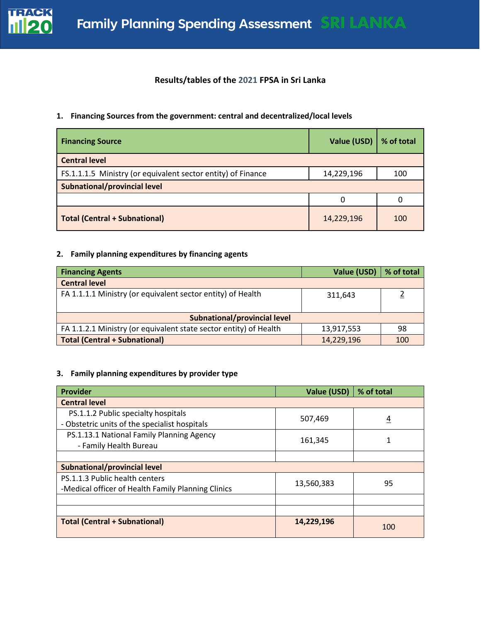

# **Results/tables of the 2021 FPSA in Sri Lanka**

## **1. Financing Sources from the government: central and decentralized/local levels**

| <b>Financing Source</b>                                      | Value (USD) | % of total |
|--------------------------------------------------------------|-------------|------------|
| <b>Central level</b>                                         |             |            |
| FS.1.1.1.5 Ministry (or equivalent sector entity) of Finance | 14,229,196  | 100        |
| Subnational/provincial level                                 |             |            |
|                                                              | 0           |            |
| <b>Total (Central + Subnational)</b>                         | 14,229,196  | 100        |

## **2. Family planning expenditures by financing agents**

| <b>Financing Agents</b>                                           | Value (USD) | % of total |
|-------------------------------------------------------------------|-------------|------------|
| <b>Central level</b>                                              |             |            |
| FA 1.1.1.1 Ministry (or equivalent sector entity) of Health       | 311.643     |            |
| Subnational/provincial level                                      |             |            |
| FA 1.1.2.1 Ministry (or equivalent state sector entity) of Health | 13,917,553  | 98         |
| <b>Total (Central + Subnational)</b>                              | 14,229,196  | 100        |

## **3. Family planning expenditures by provider type**

| <b>Provider</b>                                    | Value (USD) | % of total     |  |
|----------------------------------------------------|-------------|----------------|--|
| <b>Central level</b>                               |             |                |  |
| PS.1.1.2 Public specialty hospitals                | 507,469     | $\overline{4}$ |  |
| - Obstetric units of the specialist hospitals      |             |                |  |
| PS.1.13.1 National Family Planning Agency          | 161,345     | 1              |  |
| - Family Health Bureau                             |             |                |  |
|                                                    |             |                |  |
| <b>Subnational/provincial level</b>                |             |                |  |
| PS.1.1.3 Public health centers                     | 13,560,383  | 95             |  |
| -Medical officer of Health Family Planning Clinics |             |                |  |
|                                                    |             |                |  |
|                                                    |             |                |  |
| <b>Total (Central + Subnational)</b>               | 14,229,196  | 100            |  |
|                                                    |             |                |  |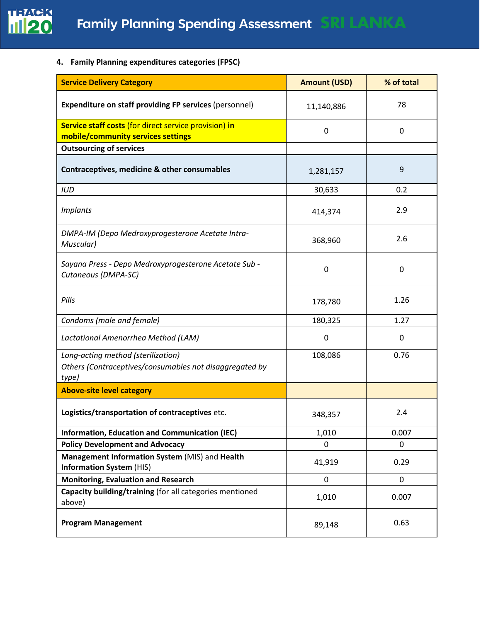

**4. Family Planning expenditures categories (FPSC)** 

| <b>Service Delivery Category</b>                                                            | <b>Amount (USD)</b> | % of total |
|---------------------------------------------------------------------------------------------|---------------------|------------|
| <b>Expenditure on staff providing FP services (personnel)</b>                               | 11,140,886          | 78         |
| Service staff costs (for direct service provision) in<br>mobile/community services settings | 0                   | 0          |
| <b>Outsourcing of services</b>                                                              |                     |            |
| Contraceptives, medicine & other consumables                                                | 1,281,157           | 9          |
| <b>IUD</b>                                                                                  | 30,633              | 0.2        |
| <b>Implants</b>                                                                             | 414,374             | 2.9        |
| DMPA-IM (Depo Medroxyprogesterone Acetate Intra-<br>Muscular)                               | 368,960             | 2.6        |
| Sayana Press - Depo Medroxyprogesterone Acetate Sub -<br>Cutaneous (DMPA-SC)                | 0                   | 0          |
| Pills                                                                                       | 178,780             | 1.26       |
| Condoms (male and female)                                                                   | 180,325             | 1.27       |
| Lactational Amenorrhea Method (LAM)                                                         | 0                   | 0          |
| Long-acting method (sterilization)                                                          | 108,086             | 0.76       |
| Others (Contraceptives/consumables not disaggregated by<br>type)                            |                     |            |
| <b>Above-site level category</b>                                                            |                     |            |
| Logistics/transportation of contraceptives etc.                                             | 348,357             | 2.4        |
| <b>Information, Education and Communication (IEC)</b>                                       | 1,010               | 0.007      |
| <b>Policy Development and Advocacy</b>                                                      | 0                   | 0          |
| Management Information System (MIS) and Health<br><b>Information System (HIS)</b>           | 41,919              | 0.29       |
| <b>Monitoring, Evaluation and Research</b>                                                  | $\mathbf 0$         | 0          |
| Capacity building/training (for all categories mentioned<br>above)                          | 1,010               | 0.007      |
| <b>Program Management</b>                                                                   | 89,148              | 0.63       |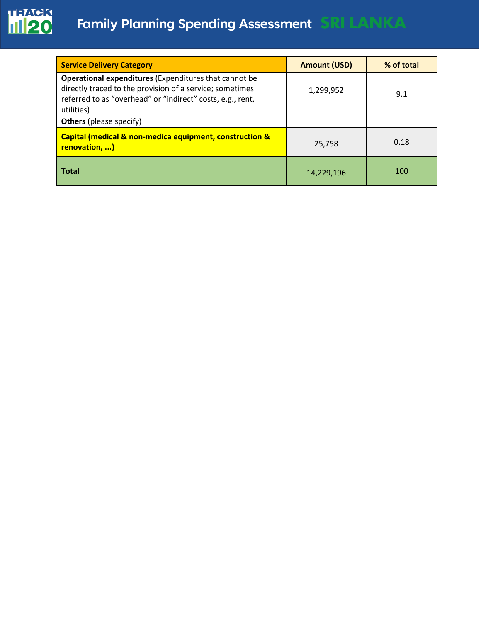

| <b>Service Delivery Category</b>                                                                                                                                                                     | <b>Amount (USD)</b> | % of total |
|------------------------------------------------------------------------------------------------------------------------------------------------------------------------------------------------------|---------------------|------------|
| <b>Operational expenditures (Expenditures that cannot be</b><br>directly traced to the provision of a service; sometimes<br>referred to as "overhead" or "indirect" costs, e.g., rent,<br>utilities) | 1,299,952           | 9.1        |
| <b>Others</b> (please specify)                                                                                                                                                                       |                     |            |
| Capital (medical & non-medica equipment, construction &<br><b>renovation, )</b>                                                                                                                      | 25,758              | 0.18       |
| l Total                                                                                                                                                                                              | 14,229,196          | 100        |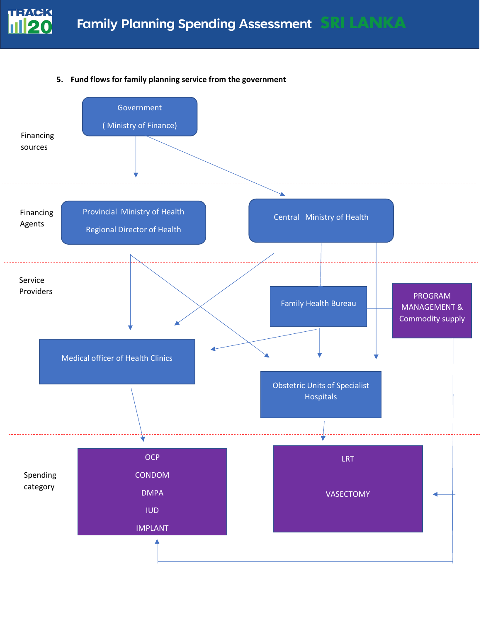

## **5. Fund flows for family planning service from the government**

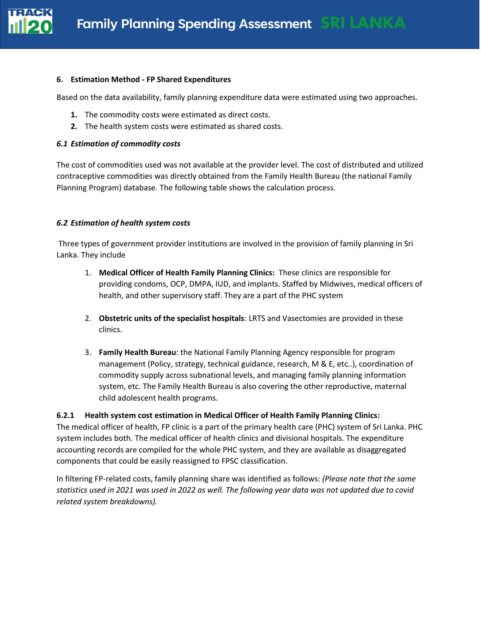

#### **6. Estimation Method - FP Shared Expenditures**

Based on the data availability, family planning expenditure data were estimated using two approaches.

- **1.** The commodity costs were estimated as direct costs.
- **2.** The health system costs were estimated as shared costs.

#### *6.1 Estimation of commodity costs*

The cost of commodities used was not available at the provider level. The cost of distributed and utilized contraceptive commodities was directly obtained from the Family Health Bureau (the national Family Planning Program) database. The following table shows the calculation process.

## *6.2 Estimation of health system costs*

Three types of government provider institutions are involved in the provision of family planning in Sri Lanka. They include

- 1. **Medical Officer of Health Family Planning Clinics:** These clinics are responsible for providing condoms, OCP, DMPA, IUD, and implants. Staffed by Midwives, medical officers of health, and other supervisory staff. They are a part of the PHC system
- 2. **Obstetric units of the specialist hospitals**: LRTS and Vasectomies are provided in these clinics.
- 3. **Family Health Bureau**: the National Family Planning Agency responsible for program management (Policy, strategy, technical guidance, research, M & E, etc..), coordination of commodity supply across subnational levels, and managing family planning information system, etc. The Family Health Bureau is also covering the other reproductive, maternal child adolescent health programs.

#### **6.2.1 Health system cost estimation in Medical Officer of Health Family Planning Clinics:**

The medical officer of health, FP clinic is a part of the primary health care (PHC) system of Sri Lanka. PHC system includes both. The medical officer of health clinics and divisional hospitals. The expenditure accounting records are compiled for the whole PHC system, and they are available as disaggregated components that could be easily reassigned to FPSC classification.

In filtering FP-related costs, family planning share was identified as follows: *(Please note that the same statistics used in 2021 was used in 2022 as well. The following year data was not updated due to covid related system breakdowns).*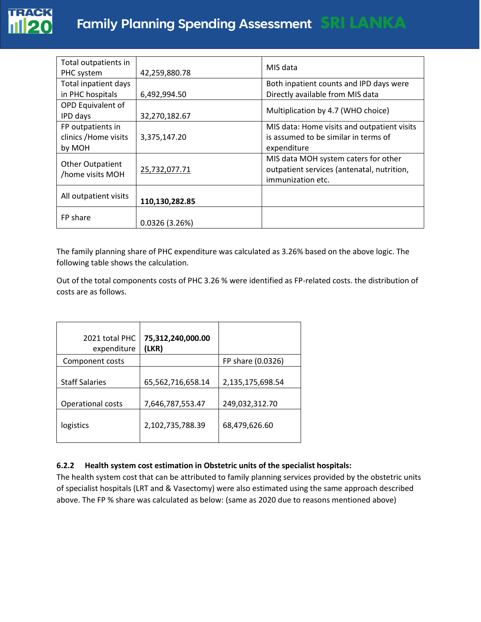

| Total outpatients in<br>PHC system                   | 42,259,880.78  | MIS data                                                                                                |
|------------------------------------------------------|----------------|---------------------------------------------------------------------------------------------------------|
| <b>Total inpatient days</b>                          |                | Both inpatient counts and IPD days were                                                                 |
| in PHC hospitals                                     | 6,492,994.50   | Directly available from MIS data                                                                        |
| OPD Equivalent of<br>IPD days                        | 32,270,182.67  | Multiplication by 4.7 (WHO choice)                                                                      |
| FP outpatients in<br>clinics / Home visits<br>by MOH | 3,375,147.20   | MIS data: Home visits and outpatient visits<br>is assumed to be similar in terms of<br>expenditure      |
| <b>Other Outpatient</b><br>/home visits MOH          | 25,732,077.71  | MIS data MOH system caters for other<br>outpatient services (antenatal, nutrition,<br>immunization etc. |
| All outpatient visits                                | 110,130,282.85 |                                                                                                         |
| FP share                                             | 0.0326(3.26%)  |                                                                                                         |

The family planning share of PHC expenditure was calculated as 3.26% based on the above logic. The following table shows the calculation.

Out of the total components costs of PHC 3.26 % were identified as FP-related costs. the distribution of costs are as follows.

| 2021 total PHC<br>expenditure | 75,312,240,000.00<br>(LKR) |                   |
|-------------------------------|----------------------------|-------------------|
| Component costs               |                            | FP share (0.0326) |
| <b>Staff Salaries</b>         | 65,562,716,658.14          | 2,135,175,698.54  |
| <b>Operational costs</b>      | 7,646,787,553.47           | 249,032,312.70    |
| logistics                     | 2,102,735,788.39           | 68,479,626.60     |

## **6.2.2 Health system cost estimation in Obstetric units of the specialist hospitals:**

The health system cost that can be attributed to family planning services provided by the obstetric units of specialist hospitals (LRT and & Vasectomy) were also estimated using the same approach described above. The FP % share was calculated as below: (same as 2020 due to reasons mentioned above)